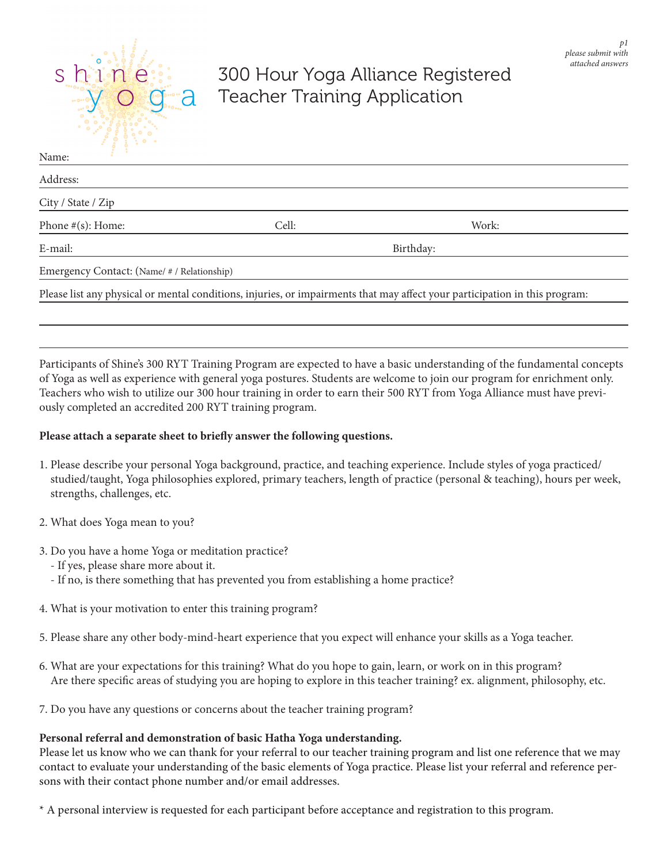

# 300 Hour Yoga Alliance Registered Teacher Training Application

| Name:                                       |           |                                                                                                                             |
|---------------------------------------------|-----------|-----------------------------------------------------------------------------------------------------------------------------|
| Address:                                    |           |                                                                                                                             |
| City / State / Zip                          |           |                                                                                                                             |
| Phone $\#(s)$ : Home:                       | Cell:     | Work:                                                                                                                       |
| E-mail:                                     | Birthday: |                                                                                                                             |
| Emergency Contact: (Name/ # / Relationship) |           |                                                                                                                             |
|                                             |           | Please list any physical or mental conditions, injuries, or impairments that may affect your participation in this program: |
|                                             |           |                                                                                                                             |

Participants of Shine's 300 RYT Training Program are expected to have a basic understanding of the fundamental concepts of Yoga as well as experience with general yoga postures. Students are welcome to join our program for enrichment only. Teachers who wish to utilize our 300 hour training in order to earn their 500 RYT from Yoga Alliance must have previously completed an accredited 200 RYT training program.

## **Please attach a separate sheet to briefly answer the following questions.**

- 1. Please describe your personal Yoga background, practice, and teaching experience. Include styles of yoga practiced/ studied/taught, Yoga philosophies explored, primary teachers, length of practice (personal & teaching), hours per week, strengths, challenges, etc.
- 2. What does Yoga mean to you?
- 3. Do you have a home Yoga or meditation practice?
	- If yes, please share more about it.
	- If no, is there something that has prevented you from establishing a home practice?
- 4. What is your motivation to enter this training program?
- 5. Please share any other body-mind-heart experience that you expect will enhance your skills as a Yoga teacher.
- 6. What are your expectations for this training? What do you hope to gain, learn, or work on in this program? Are there specific areas of studying you are hoping to explore in this teacher training? ex. alignment, philosophy, etc.
- 7. Do you have any questions or concerns about the teacher training program?

## **Personal referral and demonstration of basic Hatha Yoga understanding.**

Please let us know who we can thank for your referral to our teacher training program and list one reference that we may contact to evaluate your understanding of the basic elements of Yoga practice. Please list your referral and reference persons with their contact phone number and/or email addresses.

\* A personal interview is requested for each participant before acceptance and registration to this program.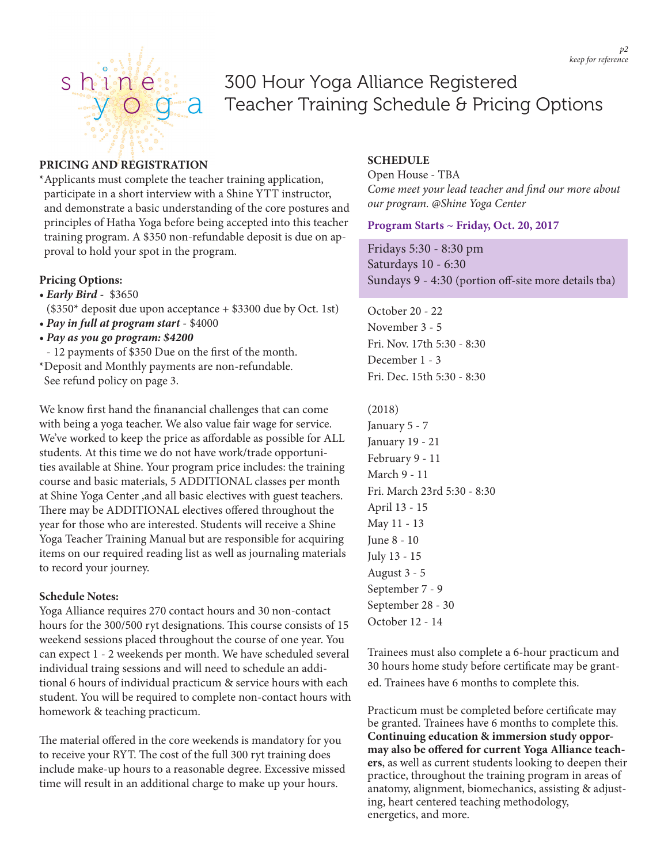

# 300 Hour Yoga Alliance Registered Teacher Training Schedule & Pricing Options

#### **PRICING AND REGISTRATION**

\*Applicants must complete the teacher training application, participate in a short interview with a Shine YTT instructor, and demonstrate a basic understanding of the core postures and principles of Hatha Yoga before being accepted into this teacher training program. A \$350 non-refundable deposit is due on approval to hold your spot in the program.

## **Pricing Options:**

*• Early Bird* - \$3650

(\$350\* deposit due upon acceptance + \$3300 due by Oct. 1st) *• Pay in full at program start* - \$4000

- *Pay as you go program: \$4200*
- 12 payments of \$350 Due on the first of the month.
- \*Deposit and Monthly payments are non-refundable. See refund policy on page 3.

We know first hand the finanancial challenges that can come with being a yoga teacher. We also value fair wage for service. We've worked to keep the price as affordable as possible for ALL students. At this time we do not have work/trade opportunities available at Shine. Your program price includes: the training course and basic materials, 5 ADDITIONAL classes per month at Shine Yoga Center ,and all basic electives with guest teachers. There may be ADDITIONAL electives offered throughout the year for those who are interested. Students will receive a Shine Yoga Teacher Training Manual but are responsible for acquiring items on our required reading list as well as journaling materials to record your journey.

#### **Schedule Notes:**

Yoga Alliance requires 270 contact hours and 30 non-contact hours for the 300/500 ryt designations. This course consists of 15 weekend sessions placed throughout the course of one year. You can expect 1 - 2 weekends per month. We have scheduled several individual traing sessions and will need to schedule an additional 6 hours of individual practicum & service hours with each student. You will be required to complete non-contact hours with homework & teaching practicum.

The material offered in the core weekends is mandatory for you to receive your RYT. The cost of the full 300 ryt training does include make-up hours to a reasonable degree. Excessive missed time will result in an additional charge to make up your hours.

# **SCHEDULE**

Open House - TBA *Come meet your lead teacher and find our more about our program. @Shine Yoga Center*

## **Program Starts ~ Friday, Oct. 20, 2017**

Fridays 5:30 - 8:30 pm Saturdays 10 - 6:30 Sundays 9 - 4:30 (portion off-site more details tba)

October 20 - 22 November 3 - 5 Fri. Nov. 17th 5:30 - 8:30 December 1 - 3 Fri. Dec. 15th 5:30 - 8:30

#### (2018)

January 5 - 7 January 19 - 21 February 9 - 11 March 9 - 11 Fri. March 23rd 5:30 - 8:30 April 13 - 15 May 11 - 13 June 8 - 10 July 13 - 15 August 3 - 5 September 7 - 9 September 28 - 30 October 12 - 14

Trainees must also complete a 6-hour practicum and 30 hours home study before certificate may be granted. Trainees have 6 months to complete this.

Practicum must be completed before certificate may be granted. Trainees have 6 months to complete this. **Continuing education & immersion study oppormay also be offered for current Yoga Alliance teachers**, as well as current students looking to deepen their practice, throughout the training program in areas of anatomy, alignment, biomechanics, assisting & adjusting, heart centered teaching methodology, energetics, and more.